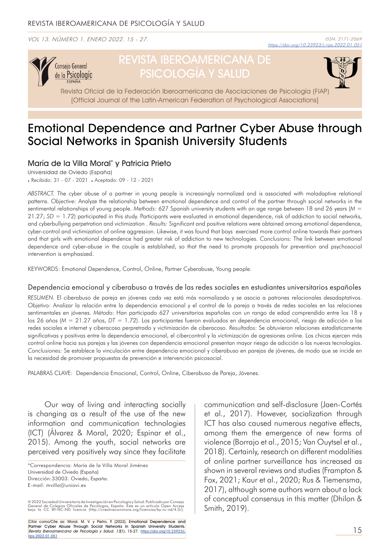VOL 13. NÚMERO 1. ENERO 2022. 15 - 27.



# REVISTA IBEROAMERICANA DE PSICOLOGÍA Y SALUD



Revista Oficial de la Federación Iberoamericana de Asociaciones de Psicología (FIAP) [Official Journal of the Latin-American Federation of Psychological Associations]

## Emotional Dependence and Partner Cyber Abuse through Social Networks in Spanish University Students

### María de la Villa Moral\* y Patricia Prieto

Universidad de Oviedo (España)

. Recibido: 31 - 07 - 2021 . Aceptado: 09 - 12 - 2021

*ABSTRACT.* The cyber abuse of a partner in young people is increasingly normalized and is associated with maladaptive relational patterns. *Objective:* Analyze the relationship between emotional dependence and control of the partner through social networks in the sentimental relationships of young people. *Methods*: 627 Spanish university students with an age range between 18 and 26 years (*M* = 21.27; *SD* = 1.72) participated in this study. Participants were evaluated in emotional dependence, risk of addiction to social networks, and cyberbullying perpetration and victimization . *Results:* Significant and positive relations were obtained among emotional dependence, cyber-control and victimization of online aggression. Likewise, it was found that boys exercised more control online towards their partners and that girls with emotional dependence had greater risk of addiction to new technologies. *Conclusions:* The link between emotional dependence and cyber-abuse in the couple is established, so that the need to promote proposals for prevention and psychosocial intervention is emphasized.

KEYWORDS: Emotional Dependence, Control, Online, Partner Cyberabuse, Young people.

#### Dependencia emocional y ciberabuso a través de las redes sociales en estudiantes universitarios españoles

*RESUMEN.* El ciberabuso de pareja en jóvenes cada vez está más normalizado y se asocia a patrones relacionales desadaptativos. *Objetivo:* Analizar la relación entre la dependencia emocional y el control de la pareja a través de redes sociales en las relaciones sentimentales en jóvenes. *Método:* Han participado 627 universitarios españoles con un rango de edad comprendido entre los 18 y los 26 años (*M* = 21.27 años, *DT* = 1.72). Los participantes fueron evaluados en dependencia emocional, riesgo de adicción a las redes sociales e internet y ciberacoso perpretrado y victimización de ciberacoso. *Resultados:* Se obtuvieron relaciones estadísticamente significativas y positivas entre la dependencia emocional, el cibercontrol y la victimización de agresiones online. Los chicos ejercen más control online hacia sus parejas y las jóvenes con dependencia emocional presentan mayor riesgo de adicción a las nuevas tecnologías. *Conclusiones:* Se establece la vinculación entre dependencia emocional y ciberabuso en parejas de jóvenes, de modo que se incide en la necesidad de promover propuestas de prevención e intervención psicosocial.

PALABRAS CLAVE: Dependencia Emocional, Control, Online, Ciberabuso de Pareja, Jóvenes.

Our way of living and interacting socially is changing as a result of the use of the new information and communication technologies (ICT) (Álvarez & Moral, 2020; Espinar et al., 2015). Among the youth, social networks are perceived very positively way since they facilitate

© 2022 Sociedad Universitaria de Investigación en Psicología y Salud. Publicado por Consejo<br>General de Colegios Oficiales de Psicólogos, España. Este es un artículo Open Access<br>bajo la CC BY-NC-ND licencia (http:

Citar como/Cite as: Moral, M. V. y Pietro, P. (2022). Emotional Dependence and Partner Cyber Abuse Through Social Networks in Spanish University Students. Revista Iberoamericana de Psicología y Salud, 13(1), 15-27. [https://doi.org/10.23923/j.](https://doi.org/10.23923/j.rips.2022.01.051) [rips.2022.01.0](https://doi.org/10.23923/j.rips.2022.01.051)51

communication and self-disclosure (Jaen-Cortés et al., 2017). However, socialization through ICT has also caused numerous negative effects, among them the emergence of new forms of violence (Borrajo et al., 2015; Van Ouytsel et al., 2018). Certainly, research on different modalities of online partner surveillance has increased as shown in several reviews and studies (Frampton & Fox, 2021; Kaur et al., 2020; Rus & Tiemensma, 2017), although some authors warn about a lack of conceptual consensus in this matter (Dhilon & Smith, 2019).

<sup>\*</sup>Correspondencia: María de la Villa Moral Jiménez Universidad de Oviedo (España) Dirección:33003. Oviedo, España. E-mail: mvilla@uniovi.es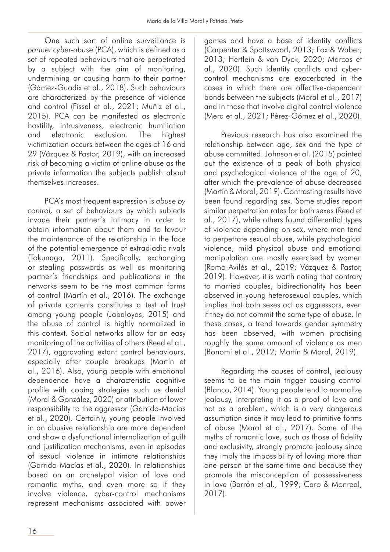One such sort of online surveillance is *partner cyber-abuse* (PCA), which is defined as a set of repeated behaviours that are perpetrated by a subject with the aim of monitoring, undermining or causing harm to their partner (Gámez-Guadix et al., 2018). Such behaviours are characterized by the presence of violence and control (Fissel et al., 2021; Muñiz et al., 2015). PCA can be manifested as electronic hostility, intrusiveness, electronic humiliation and electronic exclusion. The highest victimization occurs between the ages of 16 and 29 (Vázquez & Pastor, 2019), with an increased risk of becoming a victim of online abuse as the private information the subjects publish about themselves increases.

PCA's most frequent expression is *abuse by control,* a set of behaviours by which subjects invade their partner's intimacy in order to obtain information about them and to favour the maintenance of the relationship in the face of the potential emergence of extradiadic rivals (Tokunaga, 2011). Specifically, exchanging or stealing passwords as well as monitoring partner's friendships and publications in the networks seem to be the most common forms of control (Martín et al., 2016). The exchange of private contents constitutes a test of trust among young people (Jabaloyas, 2015) and the abuse of control is highly normalized in this context. Social networks allow for an easy monitoring of the activities of others (Reed et al., 2017), aggravating extant control behaviours, especially after couple breakups (Martín et al., 2016). Also, young people with emotional dependence have a characteristic cognitive profile with coping strategies such us denial (Moral & González, 2020) or attribution of lower responsibility to the aggressor (Garrido-Macías et al., 2020). Certainly, young people involved in an abusive relationship are more dependent and show a dysfunctional internalization of guilt and justification mechanisms, even in episodes of sexual violence in intimate relationships (Garrido-Macías et al., 2020). In relationships based on an archetypal vision of love and romantic myths, and even more so if they involve violence, cyber-control mechanisms represent mechanisms associated with power games and have a base of identity conflicts (Carpenter & Spottswood, 2013; Fox & Waber; 2013; Hertlein & van Dyck, 2020; Marcos et al., 2020). Such identity conflicts and cybercontrol mechanisms are exacerbated in the cases in which there are affective-dependent bonds between the subjects (Moral et al., 2017) and in those that involve digital control violence (Mera et al., 2021; Pérez-Gómez et al., 2020).

Previous research has also examined the relationship between age, sex and the type of abuse committed. Johnson et al. (2015) pointed out the existence of a peak of both physical and psychological violence at the age of 20, after which the prevalence of abuse decreased (Martín & Moral, 2019). Contrasting results have been found regarding sex. Some studies report similar perpetration rates for both sexes (Reed et al., 2017), while others found differential types of violence depending on sex, where men tend to perpetrate sexual abuse, while psychological violence, mild physical abuse and emotional manipulation are mostly exercised by women (Romo-Avilés et al., 2019; Vázquez & Pastor, 2019). However, it is worth noting that contrary to married couples, bidirectionality has been observed in young heterosexual couples, which implies that both sexes act as aggressors, even if they do not commit the same type of abuse. In these cases, a trend towards gender symmetry has been observed, with women practising roughly the same amount of violence as men (Bonomi et al., 2012; Martín & Moral, 2019).

Regarding the causes of control, jealousy seems to be the main trigger causing control (Blanco, 2014). Young people tend to normalize jealousy, interpreting it as a proof of love and not as a problem, which is a very dangerous assumption since it may lead to primitive forms of abuse (Moral et al., 2017). Some of the myths of romantic love, such as those of fidelity and exclusivity, strongly promote jealousy since they imply the impossibility of loving more than one person at the same time and because they promote the misconception of possessiveness in love (Barrón et al., 1999; Caro & Monreal, 2017).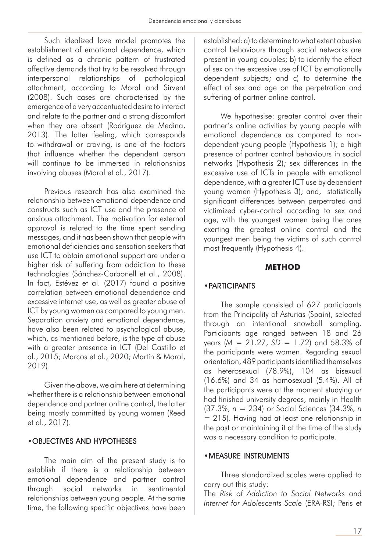Such idealized love model promotes the establishment of emotional dependence, which is defined as a chronic pattern of frustrated affective demands that try to be resolved through interpersonal relationships of pathological attachment, according to Moral and Sirvent (2008). Such cases are characterised by the emergence of a very accentuated desire to interact and relate to the partner and a strong discomfort when they are absent (Rodríguez de Medina, 2013). The latter feeling, which corresponds to withdrawal or craving, is one of the factors that influence whether the dependent person will continue to be immersed in relationships involving abuses (Moral et al., 2017).

Previous research has also examined the relationship between emotional dependence and constructs such as ICT use and the presence of anxious attachment. The motivation for external approval is related to the time spent sending messages, and it has been shown that people with emotional deficiencies and sensation seekers that use ICT to obtain emotional support are under a higher risk of suffering from addiction to these technologies (Sánchez-Carbonell et al., 2008). In fact, Estévez et al. (2017) found a positive correlation between emotional dependence and excessive internet use, as well as greater abuse of ICT by young women as compared to young men. Separation anxiety and emotional dependence, have also been related to psychological abuse, which, as mentioned before, is the type of abuse with a greater presence in ICT (Del Castillo et al., 2015; Marcos et al., 2020; Martín & Moral, 2019).

Given the above, we aim here at determining whether there is a relationship between emotional dependence and partner online control, the latter being mostly committed by young women (Reed et al., 2017).

#### •OBJECTIVES AND HYPOTHESES

The main aim of the present study is to establish if there is a relationship between emotional dependence and partner control through social networks in sentimental relationships between young people. At the same time, the following specific objectives have been established: a) to determine to what extent abusive control behaviours through social networks are present in young couples; b) to identify the effect of sex on the excessive use of ICT by emotionally dependent subjects; and c) to determine the effect of sex and age on the perpetration and suffering of partner online control.

We hypothesise: greater control over their partner's online activities by young people with emotional dependence as compared to nondependent young people (Hypothesis 1); a high presence of partner control behaviours in social networks (Hypothesis 2); sex differences in the excessive use of ICTs in people with emotional dependence, with a greater ICT use by dependent young women (Hypothesis 3); and, statistically significant differences between perpetrated and victimized cyber-control according to sex and age, with the youngest women being the ones exerting the greatest online control and the youngest men being the victims of such control most frequently (Hypothesis 4).

#### **METHOD**

#### •PARTICIPANTS

The sample consisted of 627 participants from the Principality of Asturias (Spain), selected through an intentional snowball sampling. Participants age ranged between 18 and 26 years (*M* = 21.27, *SD* = 1.72) and 58.3% of the participants were women. Regarding sexual orientation, 489 participants identified themselves as heterosexual (78.9%), 104 as bisexual (16.6%) and 34 as homosexual (5.4%). All of the participants were at the moment studying or had finished university degrees, mainly in Health (37.3%, *n* = 234) or Social Sciences (34.3%, *n* = 215). Having had at least one relationship in the past or maintaining it at the time of the study was a necessary condition to participate.

#### •MEASURE INSTRUMENTS

Three standardized scales were applied to carry out this study:

The *Risk of Addiction to Social Networks* and *Internet for Adolescents Scale* (ERA-RSI; Peris et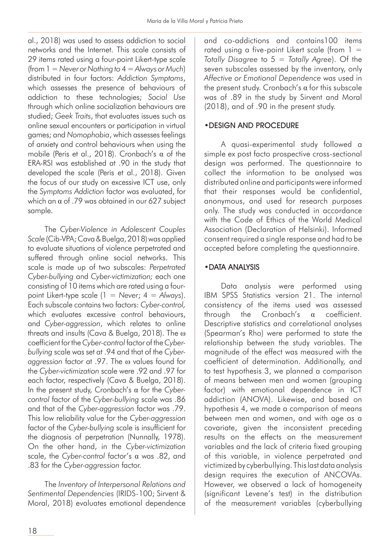al., 2018) was used to assess addiction to social networks and the Internet. This scale consists of 29 items rated using a four-point Likert-type scale (from 1 = *Never or Nothing to* 4 = *Always or Much*) distributed in four factors: *Addiction Symptoms*, which assesses the presence of behaviours of addiction to these technologies; *Social Use* through which online socialization behaviours are studied; *Geek Traits*, that evaluates issues such as online sexual encounters or participation in virtual games; and *Nomophobia*, which assesses feelings of anxiety and control behaviours when using the mobile (Peris et al., 2018). Cronbach's α of the ERA-RSI was established at .90 in the study that developed the scale (Peris et al., 2018). Given the focus of our study on excessive ICT use, only the *Symptoms Addiction* factor was evaluated, for which an  $\alpha$  of .79 was obtained in our 627 subject sample.

The *Cyber-Violence in Adolescent Couples Scale* (Cib-VPA; Cava & Buelga, 2018) was applied to evaluate situations of violence perpetrated and suffered through online social networks. This scale is made up of two subscales: *Perpetrated Cyber-bullying* and *Cyber-victimization;* each one consisting of 10 items which are rated using a fourpoint Likert-type scale (1 = *Never*; 4 = *Always*). Each subscale contains two factors: *Cyber-control,* which evaluates excessive control behaviours, and *Cyber-aggression*, which relates to online threats and insults (Cava & Buelga, 2018). The ω coefficient for the *Cyber-control* factor of the *Cyberbullying* scale was set at .94 and that of the *Cyberaggression* factor at .97. The ω values found for the *Cyber-victimization* scale were .92 and .97 for each factor, respectively (Cava & Buelga, 2018). In the present study, Cronbach's α for the *Cybercontrol* factor of the *Cyber-bullying* scale was .86 and that of the *Cyber-aggression* factor was .79. This low reliability value for the *Cyber-aggression* factor of the *Cyber-bullying* scale is insufficient for the diagnosis of perpetration (Nunnally, 1978). On the other hand, in the *Cyber-victimization*  scale, the *Cyber-control* factor's α was .82, and .83 for the *Cyber-aggression* factor.

The *Inventory of Interpersonal Relations and Sentimental Dependencies* (IRIDS-100; Sirvent & Moral, 2018) evaluates emotional dependence

and co-addictions and contains100 items rated using a five-point Likert scale (from  $1 =$ *Totally Disagree* to 5 = *Totally Agree*). Of the seven subscales assessed by the inventory, only *Affective or Emotional Dependence* was used in the present study. Cronbach's α for this subscale was of .89 in the study by Sirvent and Moral (2018), and of .90 in the present study.

#### •DESIGN AND PROCEDURE

A quasi-experimental study followed a simple ex post facto prospective cross-sectional design was performed. The questionnaire to collect the information to be analysed was distributed online and participants were informed that their responses would be confidential, anonymous, and used for research purposes only. The study was conducted in accordance with the Code of Ethics of the World Medical Association (Declaration of Helsinki). Informed consent required a single response and had to be accepted before completing the questionnaire.

#### •DATA ANALYSIS

Data analysis were performed using IBM SPSS Statistics version 21. The internal consistency of the items used was assessed through the Cronbach's α coefficient. Descriptive statistics and correlational analyses (Spearman's Rho) were performed to state the relationship between the study variables. The magnitude of the effect was measured with the coefficient of determination. Additionally, and to test hypothesis 3, we planned a comparison of means between men and women (grouping factor) with emotional dependence in ICT addiction (ANOVA). Likewise, and based on hypothesis 4, we made a comparison of means between men and women, and with age as a covariate, given the inconsistent preceding results on the effects on the measurement variables and the lack of criteria fixed grouping of this variable, in violence perpetrated and victimized by cyberbullying. This last data analysis design requires the execution of ANCOVAs. However, we observed a lack of homogeneity (significant Levene's test) in the distribution of the measurement variables (cyberbullying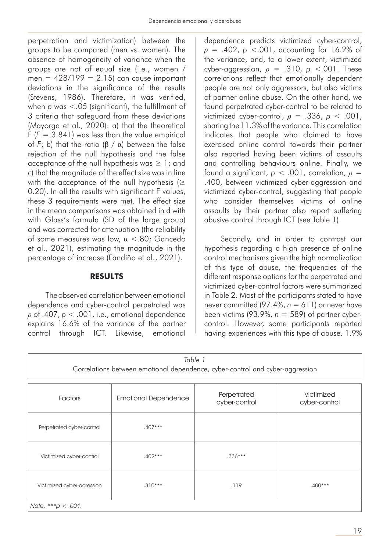perpetration and victimization) between the groups to be compared (men vs. women). The absence of homogeneity of variance when the groups are not of equal size (i.e., women / men =  $428/199 = 2.15$ ) can cause important deviations in the significance of the results (Stevens, 1986). Therefore, it was verified, when *p* was <.05 (significant), the fulfillment of 3 criteria that safeguard from these deviations (Mayorga et al., 2020): a) that the theoretical  $F$  ( $F = 3.841$ ) was less than the value empirical of  $F$ ; b) that the ratio (β /  $\alpha$ ) between the false rejection of the null hypothesis and the false acceptance of the null hypothesis was  $\geq 1$ ; and c) that the magnitude of the effect size was in line with the acceptance of the null hypothesis ( $\geq$ 0.20). In all the results with significant F values, these 3 requirements were met. The effect size in the mean comparisons was obtained in d with with Glass's formula (SD of the large group) and was corrected for attenuation (the reliability of some measures was low, α <.80; Gancedo et al., 2021), estimating the magnitude in the percentage of increase (Fandiño et al., 2021).

#### **RESULTS**

 The observed correlation between emotional dependence and cyber-control perpetrated was *ρ* of .407, *p* < .001, i.e., emotional dependence explains 16.6% of the variance of the partner control through ICT. Likewise, emotional

dependence predicts victimized cyber-control, *ρ* = .402, *p* <.001, accounting for 16.2% of the variance, and, to a lower extent, victimized cyber-aggression,  $\rho = .310$ ,  $p < .001$ . These correlations reflect that emotionally dependent people are not only aggressors, but also victims of partner online abuse. On the other hand, we found perpetrated cyber-control to be related to victimized cyber-control, *ρ* = .336, *p* < .001, sharing the 11.3% of the variance. This correlation indicates that people who claimed to have exercised online control towards their partner also reported having been victims of assaults and controlling behaviours online. Finally, we found a significant, *p* < .001, correlation, *ρ* = .400, between victimized cyber-aggression and victimized cyber-control, suggesting that people who consider themselves victims of online assaults by their partner also report suffering abusive control through ICT (see Table 1).

Secondly, and in order to contrast our hypothesis regarding a high presence of online control mechanisms given the high normalization of this type of abuse, the frequencies of the different response options for the perpetrated and victimized cyber-control factors were summarized in Table 2. Most of the participants stated to have never committed (97.4%,  $n = 611$ ) or never have been victims (93.9%, *n* = 589) of partner cybercontrol. However, some participants reported having experiences with this type of abuse. 1.9%

| Table 1<br>Correlations between emotional dependence, cyber-control and cyber-aggression |                             |                              |                             |  |
|------------------------------------------------------------------------------------------|-----------------------------|------------------------------|-----------------------------|--|
| Factors                                                                                  | <b>Emotional Dependence</b> | Perpetrated<br>cyber-control | Victimized<br>cyber-control |  |
| Perpetrated cyber-control                                                                | $.407***$                   |                              |                             |  |
| Victimized cyber-control                                                                 | $.402***$                   | $.336***$                    |                             |  |
| Victimized cyber-agression                                                               | $.310***$                   | .119                         | $.400***$                   |  |
| Note. *** $p < .001$ .                                                                   |                             |                              |                             |  |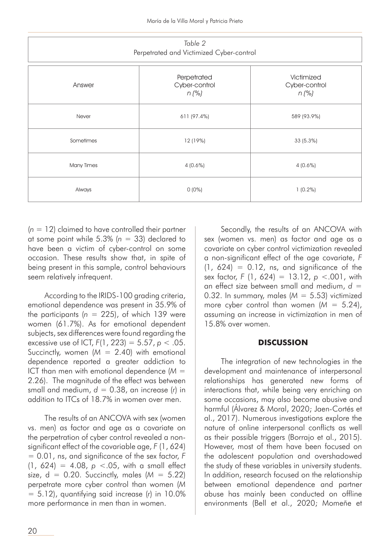| Table 2<br>Perpetrated and Victimized Cyber-control |                                         |                                        |  |
|-----------------------------------------------------|-----------------------------------------|----------------------------------------|--|
| Answer                                              | Perpetrated<br>Cyber-control<br>$n$ (%) | Victimized<br>Cyber-control<br>$n$ (%) |  |
| Never                                               | 611 (97.4%)                             | 589 (93.9%)                            |  |
| Sometimes                                           | 12 (19%)                                | 33(5.3%)                               |  |
| Many Times                                          | $4(0.6\%)$                              | $4(0.6\%)$                             |  |
| Always                                              | $0(0\%)$                                | $1(0.2\%)$                             |  |

(*n* = 12) claimed to have controlled their partner at some point while 5.3% (*n* = 33) declared to have been a victim of cyber-control on some occasion. These results show that, in spite of being present in this sample, control behaviours seem relatively infrequent.

According to the IRIDS-100 grading criteria, emotional dependence was present in 35.9% of the participants (*n* = 225), of which 139 were women (61.7%). As for emotional dependent subjects, sex differences were found regarding the excessive use of ICT, *F*(1, 223) = 5.57, *p* < .05. Succinctly, women (*M* = 2.40) with emotional dependence reported a greater addiction to ICT than men with emotional dependence (*M* = 2.26). The magnitude of the effect was between small and medium, *d* = 0.38, an increase (*r*) in addition to ITCs of 18.7% in women over men.

The results of an ANCOVA with sex (women vs. men) as factor and age as a covariate on the perpetration of cyber control revealed a nonsignificant effect of the covariable age, *F* (1, 624) = 0.01, ns, and significance of the sex factor, *F*  $(1, 624) = 4.08$ ,  $p < .05$ , with a small effect size,  $d = 0.20$ . Succinctly, males ( $M = 5.22$ ) perpetrate more cyber control than women (*M*  $= 5.12$ ), quantifying said increase ( $r$ ) in 10.0% more performance in men than in women.

Secondly, the results of an ANCOVA with sex (women vs. men) as factor and age as a covariate on cyber control victimization revealed a non-significant effect of the age covariate, *F*  $(1, 624) = 0.12$ , ns, and significance of the sex factor, *F* (1, 624) = 13.12, *p* <.001, with an effect size between small and medium, *d* = 0.32. In summary, males (*M* = 5.53) victimized more cyber control than women (*M* = 5.24), assuming an increase in victimization in men of 15.8% over women.

#### **DISCUSSION**

The integration of new technologies in the development and maintenance of interpersonal relationships has generated new forms of interactions that, while being very enriching on some occasions, may also become abusive and harmful (Álvarez & Moral, 2020; Jaen-Cortés et al., 2017). Numerous investigations explore the nature of online interpersonal conflicts as well as their possible triggers (Borrajo et al., 2015). However, most of them have been focused on the adolescent population and overshadowed the study of these variables in university students. In addition, research focused on the relationship between emotional dependence and partner abuse has mainly been conducted on offline environments (Bell et al., 2020; Momeñe et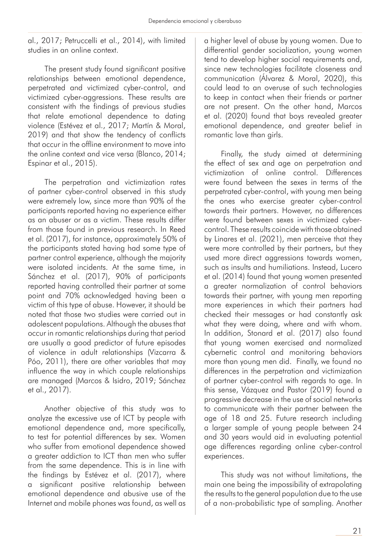al., 2017; Petruccelli et al., 2014), with limited studies in an online context.

The present study found significant positive relationships between emotional dependence, perpetrated and victimized cyber-control, and victimized cyber-aggressions. These results are consistent with the findings of previous studies that relate emotional dependence to dating violence (Estévez et al., 2017; Martín & Moral, 2019) and that show the tendency of conflicts that occur in the offline environment to move into the online context and vice versa (Blanco, 2014; Espinar et al., 2015).

The perpetration and victimization rates of partner cyber-control observed in this study were extremely low, since more than 90% of the participants reported having no experience either as an abuser or as a victim. These results differ from those found in previous research. In Reed et al. (2017), for instance, approximately 50% of the participants stated having had some type of partner control experience, although the majority were isolated incidents. At the same time, in Sánchez et al. (2017), 90% of participants reported having controlled their partner at some point and 70% acknowledged having been a victim of this type of abuse. However, it should be noted that those two studies were carried out in adolescent populations. Although the abuses that occur in romantic relationships during that period are usually a good predictor of future episodes of violence in adult relationships (Vizcarra & Póo, 2011), there are other variables that may influence the way in which couple relationships are managed (Marcos & Isidro, 2019; Sánchez et al., 2017).

Another objective of this study was to analyze the excessive use of ICT by people with emotional dependence and, more specifically, to test for potential differences by sex. Women who suffer from emotional dependence showed a greater addiction to ICT than men who suffer from the same dependence. This is in line with the findings by Estévez et al. (2017), where a significant positive relationship between emotional dependence and abusive use of the Internet and mobile phones was found, as well as

a higher level of abuse by young women. Due to differential gender socialization, young women tend to develop higher social requirements and, since new technologies facilitate closeness and communication (Álvarez & Moral, 2020), this could lead to an overuse of such technologies to keep in contact when their friends or partner are not present. On the other hand, Marcos et al. (2020) found that boys revealed greater emotional dependence, and greater belief in romantic love than girls.

Finally, the study aimed at determining the effect of sex and age on perpetration and victimization of online control. Differences were found between the sexes in terms of the perpetrated cyber-control, with young men being the ones who exercise greater cyber-control towards their partners. However, no differences were found between sexes in victimized cybercontrol. These results coincide with those obtained by Linares et al. (2021), men perceive that they were more controlled by their partners, but they used more direct aggressions towards women, such as insults and humiliations. Instead, Lucero et al. (2014) found that young women presented a greater normalization of control behaviors towards their partner, with young men reporting more experiences in which their partners had checked their messages or had constantly ask what they were doing, where and with whom. In addition, Stonard et al. (2017) also found that young women exercised and normalized cybernetic control and monitoring behaviors more than young men did. Finally, we found no differences in the perpetration and victimization of partner cyber-control with regards to age. In this sense, Vázquez and Pastor (2019) found a progressive decrease in the use of social networks to communicate with their partner between the age of 18 and 25. Future research including a larger sample of young people between 24 and 30 years would aid in evaluating potential age differences regarding online cyber-control experiences.

This study was not without limitations, the main one being the impossibility of extrapolating the results to the general population due to the use of a non-probabilistic type of sampling. Another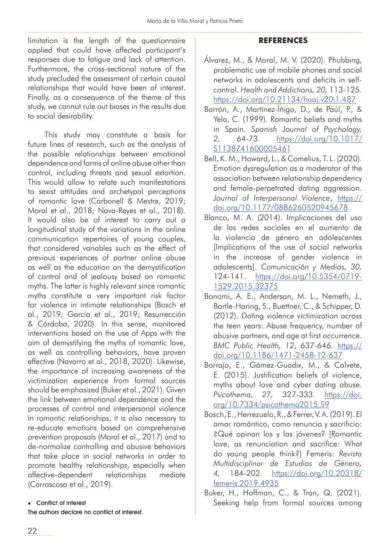limitation is the length of the questionnaire applied that could have affected participant's responses due to fatigue and lack of attention. Furthermore, the cross-sectional nature of the study precluded the assessment of certain causal relationships that would have been of interest. Finally, as a consequence of the theme of this study, we cannot rule out biases in the results due to social desirability.

This study may constitute a basis for future lines of research, such as the analysis of the possible relationships between emotional dependence and forms of online abuse other than control, including threats and sexual extortion. This would allow to relate such manifestations to sexist attitudes and archetypal perceptions of romantic love (Carbonell & Mestre, 2019; Moral et al., 2018; Nava-Reyes et al., 2018). It would also be of interest to carry out a longitudinal study of the variations in the online communication repertoires of young couples, that considered variables such as the effect of previous experiences of partner online abuse as well as the education on the demystification of control and of jealousy based on romantic myths. The latter is highly relevant since romantic myths constitute a very important risk factor for violence in intimate relationships (Bosch et al., 2019; García et al., 2019; Resurrección & Córdoba, 2020). In this sense, monitored interventions based on the use of Apps with the aim of demystifying the myths of romantic love, as well as controlling behaviors, have proven effective (Navarro et al., 2018, 2020). Likewise, the importance of increasing awareness of the victimization experience from formal sources should be emphasized (Buker et al., 2021). Given the link between emotional dependence and the processes of control and interpersonal violence in romantic relationships, it is also necessary to re-educate emotions based on comprehensive prevention proposals (Moral et al., 2017) and to de-normalize controlling and abusive behaviors that take place in social networks in order to promote healthy relationships, especially when affective-dependent relationships mediate (Carrascosa et al., 2019).

#### • Conflict of interest

The authors declare no conflict of interest.

#### **REFERENCES**

- Álvarez, M., & Moral, M. V. (2020). Phubbing, problematic use of mobile phones and social networks in adolescents and deficits in selfcontrol. *Health and Addictions, 20,* 113-125. <https://doi.org/10.21134/haaj.v20i1.487>
- Barrón, A., Martínez-Íñigo, D., de Paúl, P., & Yela, C. (1999). Romantic beliefs and myths in Spain. *Spanish Journal of Psychology, 2,* 64-73. [https://doi.org/10.1017/](https://doi.org/10.1017/S1138741600005461) [S1138741600005461](https://doi.org/10.1017/S1138741600005461)
- Bell, K. M., Howard, L., & Comelius, T. L. (2020). Emotion dysregulation as a moderator of the association between relationship dependency and female-perpetrated dating aggression. *Journal of Interpersonal Violence*, [https://](https://doi.org/10.1177/0886260520945678) [doi.org/10.1177/0886260520945678](https://doi.org/10.1177/0886260520945678)
- Blanco, M. A. (2014). Implicaciones del uso de las redes sociales en el aumento de la violencia de género en adolescentes [Implications of the use of social networks in the increase of gender violence in adolescents]. *Comunicación y Medios, 30,*  124-141. [https://doi.org/10.5354/0719-](https://doi.org/10.5354/0719-1529.2015.32375) [1529.2015.32375](https://doi.org/10.5354/0719-1529.2015.32375)
- Bonomi, A. E., Anderson, M. L., Nemeth, J., Bartle-Haring, S., Buettner, C., & Schipper, D. (2012). Dating violence victimization across the teen years: Abuse frequency, number of abusive partners, and age at first occurrence. *BMC Public Health, 12*, 637-646. [https://](https://doi.org/10.1186/1471-2458-12-637) [doi.org/10.1186/1471-2458-12-637](https://doi.org/10.1186/1471-2458-12-637)
- Borrajo, E., Gámez-Guadix, M., & Calvete, E. (2015). Justification beliefs of violence, myths about love and cyber dating abuse. *Psicothema, 27,* 327-333. [https://doi.](https://doi.org/10.7334/psicothema2015.59) [org/10.7334/psicothema2015.59](https://doi.org/10.7334/psicothema2015.59)
- Bosch, E., Herrezuelo, R., & Ferrer, V. A. (2019). El amor romántico, como renuncia y sacrificio: ¿Qué opinan los y las jóvenes? [Romantic love, as renunciation and sacrifice: What do young people think?] Femeris: *Revista Multidisciplinar de Estudios de Género, 4,* 184-202. [https://doi.org/10.20318/](https://doi.org/10.20318/femeris.2019.4935) [femeris.2019.4935](https://doi.org/10.20318/femeris.2019.4935)
- Buker, H., Hoffman, C., & Tran, Q. (2021). Seeking help from formal sources among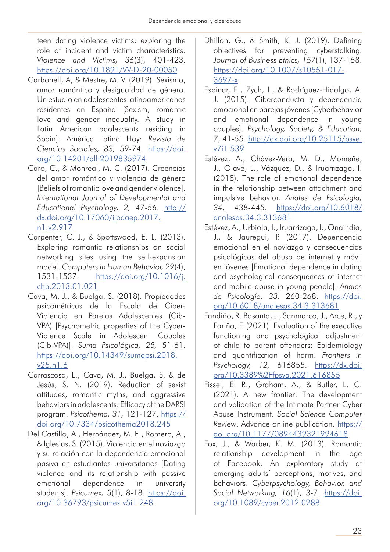teen dating violence victims: exploring the role of incident and victim characteristics. *Violence and Victims, 36*(3), 401-423. <https://doi.org/10.1891/VV-D-20-00050>

- Carbonell, A, & Mestre, M. V. (2019). Sexismo, amor romántico y desigualdad de género. Un estudio en adolescentes latinoamericanos residentes en España [Sexism, romantic love and gender inequality. A study in Latin American adolescents residing in Spain]. América Latina Hoy: *Revista de Ciencias Sociales, 83,* 59-74. [https://doi.](https://doi.org/10.14201/alh2019835974) [org/10.14201/alh2019835974](https://doi.org/10.14201/alh2019835974)
- Caro, C., & Monreal, M. C. (2017). Creencias del amor romántico y violencia de género [Beliefs of romantic love and gender violence]. *International Journal of Developmental and Educational Psychology, 2,* 47-56. [http://](http://dx.doi.org/10.17060/ijodaep.2017.n1.v2.917) [dx.doi.org/10.17060/ijodaep.2017.](http://dx.doi.org/10.17060/ijodaep.2017.n1.v2.917) [n1.v2.917](http://dx.doi.org/10.17060/ijodaep.2017.n1.v2.917)
- Carpenter, C. J., & Spottswood, E. L. (2013). Exploring romantic relationships on social networking sites using the self-expansion model. *Computers in Human Behavior, 29*(4), 1531-1537. [https://doi.org/10.1016/j.](https://doi.org/10.1016/j.chb.2013.01.021) [chb.2013.01.021](https://doi.org/10.1016/j.chb.2013.01.021)
- Cava, M. J., & Buelga, S. (2018). Propiedades psicométricas de la Escala de Ciber-Violencia en Parejas Adolescentes (Cib-VPA) [Psychometric properties of the Cyber-Violence Scale in Adolescent Couples (Cib-VPA)]. *Suma Psicológica, 25,* 51-61. [https://doi.org/10.14349/sumapsi.2018.](https://doi.org/10.14349/sumapsi.2018.v25.n1.6) [v25.n1.6](https://doi.org/10.14349/sumapsi.2018.v25.n1.6)
- Carrascosa, L., Cava, M. J., Buelga, S. & de Jesús, S. N. (2019). Reduction of sexist attitudes, romantic myths, and aggressive behaviors in adolescents: Efficacy of the DARSI program. *Psicothema, 31,* 121-127. [https://](https://doi.org/10.7334/psicothema2018.245) [doi.org/10.7334/psicothema2018.245](https://doi.org/10.7334/psicothema2018.245)
- Del Castillo, A., Hernández, M. E., Romero, A., & Iglesias, S. (2015). Violencia en el noviazgo y su relación con la dependencia emocional pasiva en estudiantes universitarios [Dating violence and its relationship with passive emotional dependence in university students]. *Psicumex, 5*(1), 8-18. [https://doi.](https://doi.org/10.36793/psicumex.v5i1.248) [org/10.36793/psicumex.v5i1.248](https://doi.org/10.36793/psicumex.v5i1.248)
- Dhillon, G., & Smith, K. J. (2019). Defining objectives for preventing cyberstalking. *Journal of Business Ethics, 157*(1), 137-158. [https://doi.org/10.1007/s10551-017-](https://doi.org/10.1007/s10551-017-3697-x) [3697-x](https://doi.org/10.1007/s10551-017-3697-x).
- Espinar, E., Zych, I., & Rodríguez-Hidalgo, A. J. (2015). Ciberconducta y dependencia emocional en parejas jóvenes [Cyberbehavior and emotional dependence in young couples]. *Psychology, Society, & Education, 7*, 41-55. [http://dx.doi.org/10.25115/psye.](http://dx.doi.org/10.25115/psye.v7i1.539) [v7i1.539](http://dx.doi.org/10.25115/psye.v7i1.539)
- Estévez, A., Chávez-Vera, M. D., Momeñe, J., Olave, L., Vázquez, D., & Iruarrizaga, I. (2018). The role of emotional dependence in the relationship between attachment and impulsive behavior. *Anales de Psicología, 34*, 438-445. [https://doi.org/10.6018/](https://doi.org/10.6018/analesps.34.3.313681) [analesps.34.3.313681](https://doi.org/10.6018/analesps.34.3.313681)
- Estévez, A., Urbiola, I., Iruarrizaga, I., Onaindia, J., & Jauregui, P. (2017). Dependencia emocional en el noviazgo y consecuencias psicológicas del abuso de internet y móvil en jóvenes [Emotional dependence in dating and psychological consequences of internet and mobile abuse in young people]. *Anales de Psicología, 33,* 260-268. [https://doi.](https://doi.org/10.6018/analesps.34.3.313681) [org/10.6018/analesps.34.3.313681](https://doi.org/10.6018/analesps.34.3.313681)
- Fandiño, R. Basanta, J., Sanmarco, J., Arce, R., y Fariña, F. (2021). Evaluation of the executive functioning and psychological adjustment of child to parent offenders: Epidemiology and quantification of harm. *Frontiers in Psychology, 12,* 616855. [https://dx.doi.](https://dx.doi.org/10.3389%2Ffpsyg.2021.616855) [org/10.3389%2Ffpsyg.2021.616855](https://dx.doi.org/10.3389%2Ffpsyg.2021.616855)
- Fissel, E. R., Graham, A., & Butler, L. C. (2021). A new frontier: The development and validation of the Intimate Partner Cyber Abuse Instrument. *Social Science Computer Review*. Advance online publication. [https://](https://doi.org/10.1177/0894439321994618) [doi.org/10.1177/0894439321994618](https://doi.org/10.1177/0894439321994618)
- Fox, J., & Warber, K. M. (2013). Romantic relationship development in the age of Facebook: An exploratory study of emerging adults' perceptions, motives, and behaviors. *Cyberpsychology, Behavior, and Social Networking, 16*(1), 3-7. [https://doi.](https://doi.org/10.1089/cyber.2012.0288) [org/10.1089/cyber.2012.0288](https://doi.org/10.1089/cyber.2012.0288)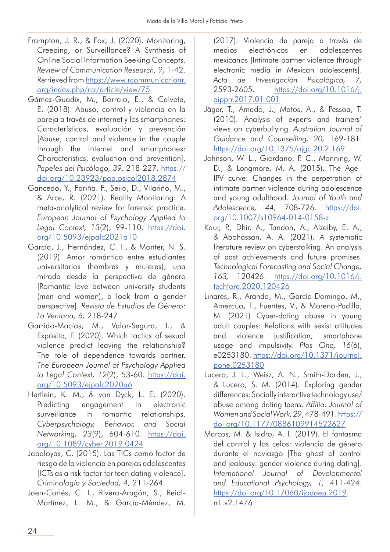- Frampton, J. R., & Fox, J. (2020). Monitoring, Creeping, or Surveillance? A Synthesis of Online Social Information Seeking Concepts. *Review of Communication Research, 9,* 1-42. Retrieved from [https://www.rcommunicationr.](https://www.rcommunicationr.org/index.php/rcr/article/view/75) [org/index.php/rcr/article/view/75](https://www.rcommunicationr.org/index.php/rcr/article/view/75)
- Gámez-Guadix, M., Borrajo, E., & Calvete, E. (2018). Abuso, control y violencia en la pareja a través de internet y los smartphones: Características, evaluación y prevención [Abuse, control and violence in the couple through the internet and smartphones: Characteristics, evaluation and prevention]. *Papeles del Psicólogo, 39,* 218-227. [https://](https://doi.org/10.23923/pap.psicol2018.2874) [doi.org/10.23923/pap.psicol2018.2874](https://doi.org/10.23923/pap.psicol2018.2874)
- Gancedo, Y., Fariña. F., Seijo, D., Vilariño, M., & Arce, R. (2021). Reality Monitoring: A meta-analytical review for forensic practice. *European Journal of Psychology Applied to Legal Context, 13*(2), 99-110. [https://doi.](https://doi.org/10.5093/ejpalc2021a10) [org/10.5093/ejpalc2021a10](https://doi.org/10.5093/ejpalc2021a10)
- García, J., Hernández, C. I., & Monter, N. S. (2019). Amor romántico entre estudiantes universitarios (hombres y mujeres), una mirada desde la perspectiva de género [Romantic love between university students (men and women), a look from a gender perspective]. *Revista de Estudios de Género: La Ventana, 6,* 218-247.
- Garrido-Macías, M., Valor-Segura, I., & Expósito, F. (2020). Which tactics of sexual violence predict leaving the relationship? The role of dependence towards partner. *The European Journal of Psychology Applied to Legal Context, 12*(2), 53-60. [https://doi.](https://doi.org/10.5093/ejpalc2020a6) [org/10.5093/ejpalc2020a6](https://doi.org/10.5093/ejpalc2020a6)
- Hertlein, K. M., & van Dyck, L. E. (2020). Predicting engagement in electronic surveillance in romantic relationships. *Cyberpsychology, Behavior, and Social Networking, 23*(9), 604-610. [https://doi.](https://doi.org/10.1089/cyber.2019.0424) [org/10.1089/cyber.2019.0424](https://doi.org/10.1089/cyber.2019.0424)
- Jabaloyas, C. (2015). Las TICs como factor de riesgo de la violencia en parejas adolescentes [ICTs as a risk factor for teen dating violence]. *Criminología y Sociedad, 4,* 211-264.
- Jaen-Cortés, C. I., Rivera-Aragón, S., Reidl-Martínez, L. M., & García-Méndez, M.

(2017). Violencia de pareja a través de medios electrónicos en adolescentes mexicanos [Intimate partner violence through electronic media in Mexican adolescents]. *Acta de Investigación Psicológica, 7,*  2593-2605. [https://doi.org/10.1016/j.](https://doi.org/10.1016/j.aipprr.2017.01.001) [aipprr.2017.01.001](https://doi.org/10.1016/j.aipprr.2017.01.001)

- Jäger, T., Amado, J., Matos, A., & Pessoa, T. (2010). Analysis of experts and trainers' views on cyberbullying. *Australian Journal of Guidance and Counselling, 20,* 169-181. <https://doi.org/10.1375/ajgc.20.2.169>
- Johnson, W. L., Giordano, P. C., Manning, W. D., & Longmore, M. A. (2015). The Age– IPV curve: Changes in the perpetration of intimate partner violence during adolescence and young adulthood. *Journal of Youth and Adolescence, 44,* 708-726. [https://doi.](https://doi.org/10.1007/s10964-014-0158-z) [org/10.1007/s10964-014-0158-z](https://doi.org/10.1007/s10964-014-0158-z)
- Kaur, P., Dhir, A., Tandon, A., Alzeiby, E. A., & Abohassan, A. A. (2021). A systematic literature review on cyberstalking. An analysis of past achievements and future promises. *Technological Forecasting and Social Change, 163,* 120426. [https://doi.org/10.1016/j.](https://doi.org/10.1016/j.techfore.2020.120426) [techfore.2020.120426](https://doi.org/10.1016/j.techfore.2020.120426)
- Linares, R., Aranda, M., García-Domingo, M., Amezcua, T., Fuentes, V., & Moreno-Padilla, M. (2021) Cyber-dating abuse in young adult couples: Relations with sexist attitudes and violence justification, smartphone usage and impulsivity. *Plos One, 16*(6), e0253180. [https://doi.org/10.1371/journal.](https://doi.org/10.1371/journal.pone.0253180) [pone.0253180](https://doi.org/10.1371/journal.pone.0253180)
- Lucero, J. L., Weisz, A. N., Smith-Darden, J., & Lucero, S. M. (2014). Exploring gender differences: Socially interactive technology use/ abuse among dating teens. *Affilia: Journal of Women and Social Work, 29*, 478-491. [https://](https://doi.org/10.1177/0886109914522627) [doi.org/10.1177/0886109914522627](https://doi.org/10.1177/0886109914522627)
- Marcos, M. & Isidro, A. I. (2019). El fantasma del control y los celos: violencia de género durante el noviazgo [The ghost of control and jealousy: gender violence during dating]. *International Journal of Developmental and Educational Psychology, 1,* 411-424. [https://doi.org/10.17060/ijodaep.2019](https://doi.org/10.17060/ijodaep.2019.n1.v2.1476). n1.v2.1476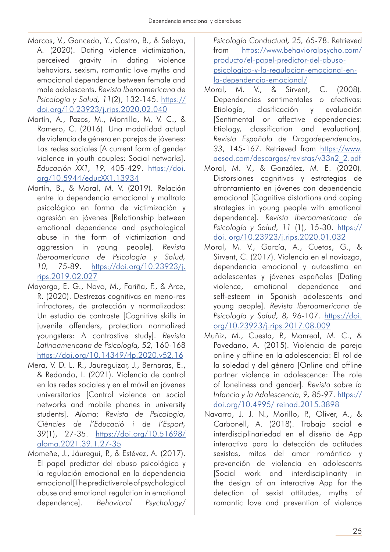- Marcos, V., Gancedo, Y., Castro, B., & Selaya, A. (2020). Dating violence victimization, perceived gravity in dating violence behaviors, sexism, romantic love myths and emocional dependence between female and male adolescents. *Revista Iberoamericana de Psicología y Salud, 11*(2), 132-145. [https://](https://doi.org/10.23923/j.rips.2020.02.040) [doi.org/10.23923/j.rips.2020.02.040](https://doi.org/10.23923/j.rips.2020.02.040)
- Martín, A., Pazos, M., Montilla, M. V. C., & Romero, C. (2016). Una modalidad actual de violencia de género en parejas de jóvenes: Las redes sociales [A current form of gender violence in youth couples: Social networks]. *Educación XX1, 19,* 405-429. [https://doi.](https://doi.org/10.5944/educXX1.13934) [org/10.5944/educXX1.13934](https://doi.org/10.5944/educXX1.13934)
- Martín, B., & Moral, M. V. (2019). Relación entre la dependencia emocional y maltrato psicológico en forma de victimización y agresión en jóvenes [Relationship between emotional dependence and psychological abuse in the form of victimization and aggression in young people]. *Revista Iberoamericana de Psicología y Salud, 10,* 75-89. [https://doi.org/10.23923/j.](https://doi.org/10.23923/j.rips.2019.02.027) [rips.2019.02.027](https://doi.org/10.23923/j.rips.2019.02.027)
- Mayorga, E. G., Novo, M., Fariña, F., & Arce, R. (2020). Destrezas cognitivas en meno-res infractores, de protección y normalizados: Un estudio de contraste [Cognitive skills in juvenile offenders, protection normalized youngsters: A contrastive study]. *Revista Latinoamericana de Psicología, 52,* 160-168 [https://doi.org/10.14349/rlp.2020.v52.16](https://doi.org/10.14349/rlp.2020.v52.16
)
- Mera, V. D. L. R., Jaureguizar, J., Bernaras, E., & Redondo, I. (2021). Violencia de control en las redes sociales y en el móvil en jóvenes universitarios [Control violence on social networks and mobile phones in university students]. *Aloma: Revista de Psicologia, Ciències de l'Educació i de l'Esport, 39*(1), 27-35. [https://doi.org/10.51698/](https://doi.org/10.51698/aloma.2021.39.1.27-35) [aloma.2021.39.1.27-35](https://doi.org/10.51698/aloma.2021.39.1.27-35)
- Momeñe, J., Jáuregui, P., & Estévez, A. (2017). El papel predictor del abuso psicológico y la regulación emocional en la dependencia emocional [The predictive role of psychological abuse and emotional regulation in emotional dependence]. *Behavioral Psychology/*

*Psicología Conductual, 25,* 65-78. Retrieved from [https://www.behavioralpsycho.com/](https://www.behavioralpsycho.com/producto/el-papel-predictor-del-abuso-psicologico-y-la-regulacion-emocional-en-la-dependencia-emocional/) [producto/el-papel-predictor-del-abuso](https://www.behavioralpsycho.com/producto/el-papel-predictor-del-abuso-psicologico-y-la-regulacion-emocional-en-la-dependencia-emocional/)[psicologico-y-la-regulacion-emocional-en](https://www.behavioralpsycho.com/producto/el-papel-predictor-del-abuso-psicologico-y-la-regulacion-emocional-en-la-dependencia-emocional/)[la-dependencia-emocional/](https://www.behavioralpsycho.com/producto/el-papel-predictor-del-abuso-psicologico-y-la-regulacion-emocional-en-la-dependencia-emocional/)

- Moral, M. V., & Sirvent, C. (2008). Dependencias sentimentales o afectivas: Etiología, clasificación y evaluación [Sentimental or affective dependencies: Etiology, classification and evaluation]. *Revista Española de Drogodependencias, 33*, 145-167. Retrieved from [https://www.](https://www.aesed.com/descargas/revistas/v33n2_2.pdf
) [aesed.com/descargas/revistas/v33n2\\_2.pdf](https://www.aesed.com/descargas/revistas/v33n2_2.pdf
)
- Moral, M. V., & González, M. E. (2020). Distorsiones cognitivas y estrategias de afrontamiento en jóvenes con dependencia emocional [Cognitive distortions and coping strategies in young people with emotional dependence]. *Revista Iberoamericana de Psicología y Salud, 11* (1), 15-30. [https://](https://doi. org/10.23923/j.rips.2020.01.032) [doi. org/10.23923/j.rips.2020.01.032](https://doi. org/10.23923/j.rips.2020.01.032)
- Moral, M. V., García, A., Cuetos, G., & Sirvent, C. (2017). Violencia en el noviazgo, dependencia emocional y autoestima en adolescentes y jóvenes españoles [Dating violence, emotional dependence and self-esteem in Spanish adolescents and young people]. *Revista Iberoamericana de Psicología y Salud, 8,* 96-107. [https://doi.](https://doi.org/10.23923/j.rips.2017.08.009) [org/10.23923/j.rips.2017.08.009](https://doi.org/10.23923/j.rips.2017.08.009)
- Muñiz, M., Cuesta, P., Monreal, M. C., & Povedano, A. (2015). Violencia de pareja online y offline en la adolescencia: El rol de la soledad y del género [Online and offline partner violence in adolescence: The role of loneliness and gender]. *Revista sobre la Infancia y la Adolescencia, 9,* 85-97. [https://](https://doi.org/10.4995/ reinad.2015.3898) [doi.org/10.4995/ reinad.2015.3898](https://doi.org/10.4995/ reinad.2015.3898)
- Navarro, J. J. N., Morillo, P., Oliver, A., & Carbonell, A. (2018). Trabajo social e interdisciplinariedad en el diseño de App interactiva para la detección de actitudes sexistas, mitos del amor romántico y prevención de violencia en adolescents [Social work and interdisciplinarity in the design of an interactive App for the detection of sexist attitudes, myths of romantic love and prevention of violence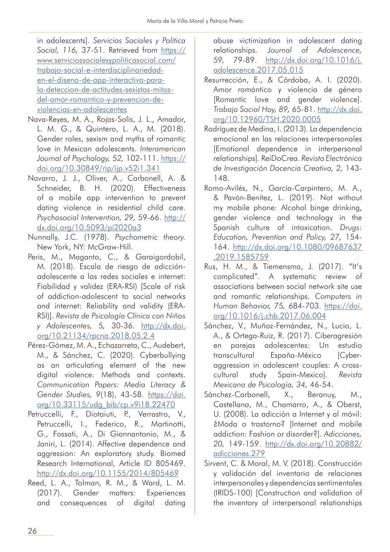in adolescents]. *Servicios Sociales y Política*  Social, 116, 37-51. Retrieved from [https://](https://www.serviciossocialesypoliticasocial.com/trabajo-social-e-interdisciplinariedad-en-el-diseno-de-app-interactiva-para-la-deteccion-de-actitudes-sexistas-mitos-del-amor-romantico-y-prevencion-de-violencias-en-adolescentes) [www.serviciossocialesypoliticasocial.com/](https://www.serviciossocialesypoliticasocial.com/trabajo-social-e-interdisciplinariedad-en-el-diseno-de-app-interactiva-para-la-deteccion-de-actitudes-sexistas-mitos-del-amor-romantico-y-prevencion-de-violencias-en-adolescentes) [trabajo-social-e-interdisciplinariedad](https://www.serviciossocialesypoliticasocial.com/trabajo-social-e-interdisciplinariedad-en-el-diseno-de-app-interactiva-para-la-deteccion-de-actitudes-sexistas-mitos-del-amor-romantico-y-prevencion-de-violencias-en-adolescentes)[en-el-diseno-de-app-interactiva-para](https://www.serviciossocialesypoliticasocial.com/trabajo-social-e-interdisciplinariedad-en-el-diseno-de-app-interactiva-para-la-deteccion-de-actitudes-sexistas-mitos-del-amor-romantico-y-prevencion-de-violencias-en-adolescentes)[la-deteccion-de-actitudes-sexistas-mitos](https://www.serviciossocialesypoliticasocial.com/trabajo-social-e-interdisciplinariedad-en-el-diseno-de-app-interactiva-para-la-deteccion-de-actitudes-sexistas-mitos-del-amor-romantico-y-prevencion-de-violencias-en-adolescentes)[del-amor-romantico-y-prevencion-de](https://www.serviciossocialesypoliticasocial.com/trabajo-social-e-interdisciplinariedad-en-el-diseno-de-app-interactiva-para-la-deteccion-de-actitudes-sexistas-mitos-del-amor-romantico-y-prevencion-de-violencias-en-adolescentes)[violencias-en-adolescentes](https://www.serviciossocialesypoliticasocial.com/trabajo-social-e-interdisciplinariedad-en-el-diseno-de-app-interactiva-para-la-deteccion-de-actitudes-sexistas-mitos-del-amor-romantico-y-prevencion-de-violencias-en-adolescentes)

- Nava-Reyes, M. A., Rojas-Solís, J. L., Amador, L. M. G., & Quintero, L. A., M. (2018). Gender roles, sexism and myths of romantic love in Mexican adolescents. *Interamerican Journal of Psychology, 52,* 102-111. [https://](https://doi.org/10.30849/rip/ijp.v52i1.341) [doi.org/10.30849/rip/ijp.v52i1.341](https://doi.org/10.30849/rip/ijp.v52i1.341)
- Navarro, J. J., Oliver, A., Carbonell, A. & Schneider, B. H. (2020). Effectiveness of a mobile app intervention to prevent dating violence in residential child care. *Psychosocial Intervention, 29,* 59-66. [http://](http://dx.doi.org/10.5093/pi2020a3) [dx.doi.org/10.5093/pi2020a3](http://dx.doi.org/10.5093/pi2020a3)
- Nunnally, J.C. (1978). *Psychometric theory.*  New York, NY: McGraw-Hill.
- Peris, M., Maganto, C., & Garaigordobil, M. (2018). Escala de riesgo de adicciónadolescente a las redes sociales e internet: Fiabilidad y validez (ERA-RSI) [Scale of risk of addiction-adolescent to social networks and internet: Reliability and validity (ERA-RSI)]. *Revista de Psicología Clínica con Niños y Adolescentes, 5,* 30-36. [http://dx.doi.](http://dx.doi.org/10.21134/rpcna.2018.05.2.4) [org/10.21134/rpcna.2018.05.2.4](http://dx.doi.org/10.21134/rpcna.2018.05.2.4)
- Pérez-Gómez, M. A., Echazarreta, C., Audebert, M., & Sánchez, C. (2020). Cyberbullying as an articulating element of the new digital violence: Methods and contexts. *Communication Papers: Media Literacy & Gender Studies, 9*(18), 43-58. [https://doi.](https://doi.org/10.33115/udg_bib/cp.v9i18.22470) [org/10.33115/udg\\_bib/cp.v9i18.22470](https://doi.org/10.33115/udg_bib/cp.v9i18.22470)
- Petruccelli, F., Diotaiuti, P., Verrastro, V., Petruccelli, I., Federico, R., Martinotti, G., Fossati, A., Di Giannantonio, M., & Janiri, L. (2014). Affective dependence and aggression: An exploratory study. Biomed Research International, Article ID 805469. <http://dx.doi.org/10.1155/2014/805469>
- Reed, L. A., Tolman, R. M., & Ward, L. M. (2017). Gender matters: Experiences and consequences of digital dating

abuse victimization in adolescent dating relationships. *Journal of Adolescence, 59,* 79-89. [http://dx.doi.org/10.1016/j.](http://dx.doi.org/10.1016/j.adolescence.2017.05.015) [adolescence.2017.05.015](http://dx.doi.org/10.1016/j.adolescence.2017.05.015)

- Resurrección, E., & Córdoba, A. I. (2020). Amor romántico y violencia de género [Romantic love and gender violence]. *Trabajo Social Hoy, 89,* 65-81. [http://dx.doi.](http://dx.doi.org/10.12960/TSH.2020.0005) [org/10.12960/TSH.2020.0005](http://dx.doi.org/10.12960/TSH.2020.0005)
- Rodríguez de Medina, I. (2013). La dependencia emocional en las relaciones interpersonales [Emotional dependence in interpersonal relationships]. ReiDoCrea. *Revista Electrónica de Investigación Docencia Creativa, 2,* 143- 148.
- Romo-Avilés, N., García-Carpintero, M. A., & Pavón-Benítez, L. (2019). Not without my mobile phone: Alcohol binge drinking, gender violence and technology in the Spanish culture of intoxication. *Drugs: Education, Prevention and Policy, 27,* 154- 164. [http://dx.doi.org/10.1080/09687637](http://dx.doi.org/10.1080/09687637.2019.1585759) [.2019.1585759](http://dx.doi.org/10.1080/09687637.2019.1585759)
- Rus, H. M., & Tiemensma, J. (2017). "It's complicated". A systematic review of associations between social network site use and romantic relationships. *Computers in Human Behavior, 75,* 684-703. [https://doi.](https://doi.org/10.1016/j.chb.2017.06.004) [org/10.1016/j.chb.2017.06.004](https://doi.org/10.1016/j.chb.2017.06.004)
- Sánchez, V., Muñoz-Fernández, N., Lucio, L. A., & Ortega-Ruiz, R. (2017). Ciberagresión en parejas adolescentes: Un estudio transcultural España-México [Cyberaggression in adolescent couples: A crosscultural study Spain-Mexico]. *Revista Mexicana de Psicología, 34,* 46-54.
- Sánchez-Carbonell, X., Beranuy, M., Castellana, M., Chamarro, A., & Oberst, U. (2008). La adicción a Internet y al móvil: ¿Moda o trastorno? [Internet and mobile addiction: Fashion or disorder?]. *Adicciones, 20,* 149-159. [http://dx.doi.org/10.20882/](http://dx.doi.org/10.20882/adicciones.279) [adicciones.279](http://dx.doi.org/10.20882/adicciones.279)
- Sirvent, C. & Moral, M. V. (2018). Construcción y validación del inventario de relaciones interpersonales y dependencias sentimentales (IRIDS-100) [Construction and validation of the inventory of interpersonal relationships